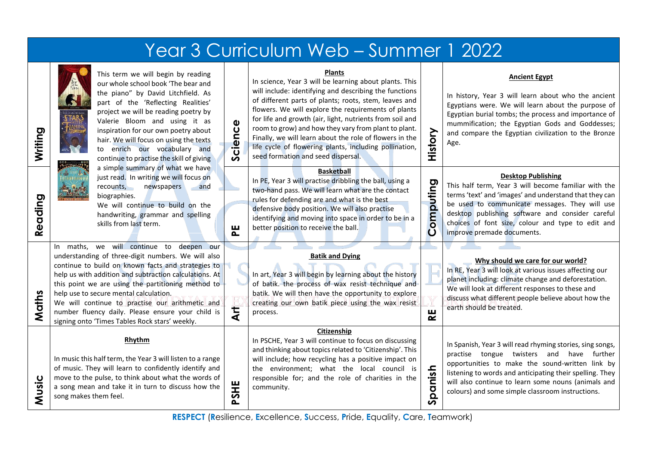| Year 3 Curriculum Web - Summer 1 2022 |                                                                                                                                                                                                                                                                                                                                                                                                                                                                                                                                                                                                                                 |            |                                                                                                                                                                                                                                                                                                                                                                                                                                                                                                                                  |                         |                                                                                                                                                                                                                                                                                                                                      |
|---------------------------------------|---------------------------------------------------------------------------------------------------------------------------------------------------------------------------------------------------------------------------------------------------------------------------------------------------------------------------------------------------------------------------------------------------------------------------------------------------------------------------------------------------------------------------------------------------------------------------------------------------------------------------------|------------|----------------------------------------------------------------------------------------------------------------------------------------------------------------------------------------------------------------------------------------------------------------------------------------------------------------------------------------------------------------------------------------------------------------------------------------------------------------------------------------------------------------------------------|-------------------------|--------------------------------------------------------------------------------------------------------------------------------------------------------------------------------------------------------------------------------------------------------------------------------------------------------------------------------------|
| Writing                               | This term we will begin by reading<br>our whole school book 'The bear and<br>the piano" by David Litchfield. As<br>part of the 'Reflecting Realities'<br>project we will be reading poetry by<br>Valerie Bloom and using it as<br>inspiration for our own poetry about<br>hair. We will focus on using the texts<br>to enrich our vocabulary and<br>continue to practise the skill of giving<br>a simple summary of what we have<br>just read. In writing we will focus on<br>recounts,<br>newspapers<br>and<br>biographies.<br>We will continue to build on the<br>handwriting, grammar and spelling<br>skills from last term. | Science    | <b>Plants</b><br>In science, Year 3 will be learning about plants. This<br>will include: identifying and describing the functions<br>of different parts of plants; roots, stem, leaves and<br>flowers. We will explore the requirements of plants<br>for life and growth (air, light, nutrients from soil and<br>room to grow) and how they vary from plant to plant.<br>Finally, we will learn about the role of flowers in the<br>life cycle of flowering plants, including pollination,<br>seed formation and seed dispersal. | History                 | <b>Ancient Egypt</b><br>In history, Year 3 will learn about who the ancient<br>Egyptians were. We will learn about the purpose of<br>Egyptian burial tombs; the process and importance of<br>mummification; the Egyptian Gods and Goddesses;<br>and compare the Egyptian civilization to the Bronze<br>Age.                          |
| eading<br>≃                           |                                                                                                                                                                                                                                                                                                                                                                                                                                                                                                                                                                                                                                 | 뿐          | <b>Basketball</b><br>In PE, Year 3 will practise dribbling the ball, using a<br>two-hand pass. We will learn what are the contact<br>rules for defending are and what is the best<br>defensive body position. We will also practise<br>identifying and moving into space in order to be in a<br>better position to receive the ball.                                                                                                                                                                                             | omputing<br>$\mathbf O$ | <b>Desktop Publishing</b><br>This half term, Year 3 will become familiar with the<br>terms 'text' and 'images' and understand that they can<br>be used to communicate messages. They will use<br>desktop publishing software and consider careful<br>choices of font size, colour and type to edit and<br>improve premade documents. |
| Maths                                 | In maths, we will continue to deepen our<br>understanding of three-digit numbers. We will also<br>continue to build on known facts and strategies to<br>help us with addition and subtraction calculations. At<br>this point we are using the partitioning method to<br>help use to secure mental calculation.<br>We will continue to practise our arithmetic and<br>number fluency daily. Please ensure your child is<br>signing onto 'Times Tables Rock stars' weekly.                                                                                                                                                        | <b>Art</b> | <b>Batik and Dying</b><br>In art, Year 3 will begin by learning about the history<br>of batik. the process of wax resist technique and<br>batik. We will then have the opportunity to explore<br>creating our own batik piece using the wax resist<br>process.                                                                                                                                                                                                                                                                   | ш<br>≃                  | Why should we care for our world?<br>In RE, Year 3 will look at various issues affecting our<br>planet including: climate change and deforestation.<br>We will look at different responses to these and<br>discuss what different people believe about how the<br>earth should be treated.                                           |
| Music                                 | Rhythm<br>In music this half term, the Year 3 will listen to a range<br>of music. They will learn to confidently identify and<br>move to the pulse, to think about what the words of<br>a song mean and take it in turn to discuss how the<br>song makes them feel.                                                                                                                                                                                                                                                                                                                                                             | PSHE       | Citizenship<br>In PSCHE, Year 3 will continue to focus on discussing<br>and thinking about topics related to 'Citizenship'. This<br>will include; how recycling has a positive impact on<br>the environment; what the local council is<br>responsible for; and the role of charities in the<br>community.                                                                                                                                                                                                                        | panish<br>n             | In Spanish, Year 3 will read rhyming stories, sing songs,<br>practise tongue twisters and have further<br>opportunities to make the sound-written link by<br>listening to words and anticipating their spelling. They<br>will also continue to learn some nouns (animals and<br>colours) and some simple classroom instructions.     |

**RESPECT** (**R**esilience, **E**xcellence, **S**uccess, **P**ride, **E**quality, **C**are, **T**eamwork)